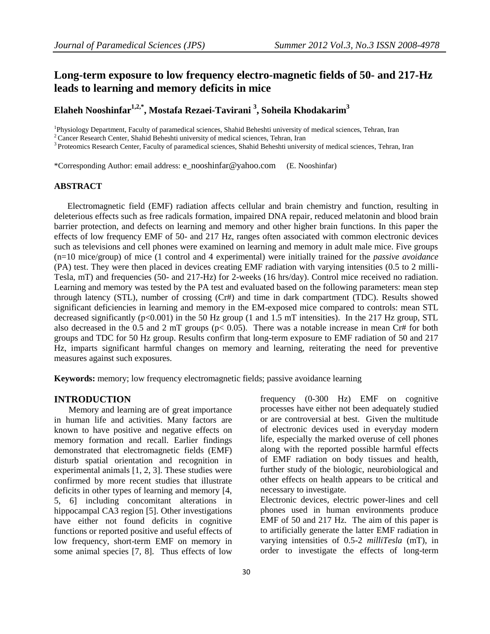# **Long-term exposure to low frequency electro-magnetic fields of 50- and 217-Hz leads to learning and memory deficits in mice**

# **Elaheh Nooshinfar1,2,\*, Mostafa Rezaei-Tavirani <sup>3</sup> , Soheila Khodakarim<sup>3</sup>**

<sup>1</sup>Physiology Department, Faculty of paramedical sciences, Shahid Beheshti university of medical sciences, Tehran, Iran

<sup>2</sup> Cancer Research Center, Shahid Beheshti university of medical sciences, Tehran, Iran

<sup>3</sup> Proteomics Research Center, Faculty of paramedical sciences, Shahid Beheshti university of medical sciences, Tehran, Iran

\*Corresponding Author: email address: [e\\_nooshinfar@yahoo.com](mailto:e_nooshinfar@yahoo.com) (E. Nooshinfar)

### **ABSTRACT**

 Electromagnetic field (EMF) radiation affects cellular and brain chemistry and function, resulting in deleterious effects such as free radicals formation, impaired DNA repair, reduced melatonin and blood brain barrier protection, and defects on learning and memory and other higher brain functions. In this paper the effects of low frequency EMF of 50- and 217 Hz, ranges often associated with common electronic devices such as televisions and cell phones were examined on learning and memory in adult male mice. Five groups (n=10 mice/group) of mice (1 control and 4 experimental) were initially trained for the *passive avoidance* (PA) test. They were then placed in devices creating EMF radiation with varying intensities (0.5 to 2 milli-Tesla, mT) and frequencies (50- and 217-Hz) for 2-weeks (16 hrs/day). Control mice received no radiation. Learning and memory was tested by the PA test and evaluated based on the following parameters: mean step through latency (STL), number of crossing (Cr#) and time in dark compartment (TDC). Results showed significant deficiencies in learning and memory in the EM-exposed mice compared to controls: mean STL decreased significantly (p<0.001) in the 50 Hz group (1 and 1.5 mT intensities). In the 217 Hz group, STL also decreased in the 0.5 and 2 mT groups (p< 0.05). There was a notable increase in mean Cr# for both groups and TDC for 50 Hz group. Results confirm that long-term exposure to EMF radiation of 50 and 217 Hz, imparts significant harmful changes on memory and learning, reiterating the need for preventive measures against such exposures.

**Keywords:** memory; low frequency electromagnetic fields; passive avoidance learning

#### **INTRODUCTION**

Memory and learning are of great importance in human life and activities. Many factors are known to have positive and negative effects on memory formation and recall. Earlier findings demonstrated that electromagnetic fields (EMF) disturb spatial orientation and recognition in experimental animals [1, 2, 3]. These studies were confirmed by more recent studies that illustrate deficits in other types of learning and memory [4, 5, 6] including concomitant alterations in hippocampal CA3 region [5]. Other investigations have either not found deficits in cognitive functions or reported positive and useful effects of low frequency, short-term EMF on memory in some animal species [7, 8]. Thus effects of low

frequency (0-300 Hz) EMF on cognitive processes have either not been adequately studied or are controversial at best. Given the multitude of electronic devices used in everyday modern life, especially the marked overuse of cell phones along with the reported possible harmful effects of EMF radiation on body tissues and health, further study of the biologic, neurobiological and other effects on health appears to be critical and necessary to investigate.

Electronic devices, electric power-lines and cell phones used in human environments produce EMF of 50 and 217 Hz. The aim of this paper is to artificially generate the latter EMF radiation in varying intensities of 0.5-2 *milliTesla* (mT), in order to investigate the effects of long-term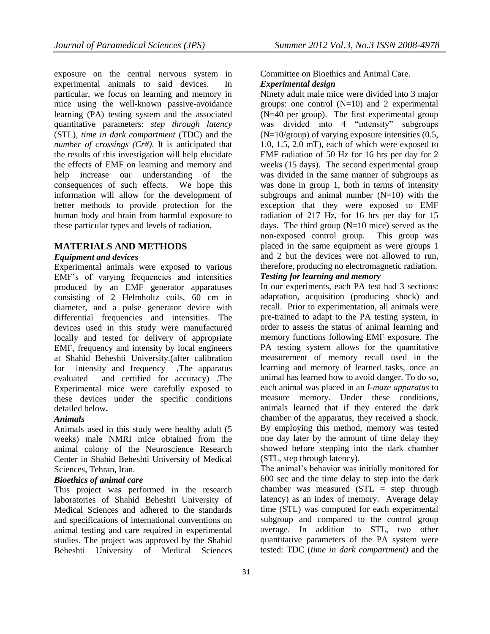exposure on the central nervous system in experimental animals to said devices. In particular, we focus on learning and memory in mice using the well-known passive-avoidance learning (PA) testing system and the associated quantitative parameters: *step through latency* (STL), *time in dark compartment* (TDC) and the *number of crossings (Cr#)*. It is anticipated that the results of this investigation will help elucidate the effects of EMF on learning and memory and help increase our understanding of the consequences of such effects. We hope this information will allow for the development of better methods to provide protection for the human body and brain from harmful exposure to these particular types and levels of radiation.

# **MATERIALS AND METHODS**

### *Equipment and devices*

Experimental animals were exposed to various EMF's of varying frequencies and intensities produced by an EMF generator apparatuses consisting of 2 Helmholtz coils, 60 cm in diameter, and a pulse generator device with differential frequencies and intensities. The devices used in this study were manufactured locally and tested for delivery of appropriate EMF, frequency and intensity by local engineers at Shahid Beheshti University.(after calibration for intensity and frequency ,The apparatus evaluated and certified for accuracy) .The Experimental mice were carefully exposed to these devices under the specific conditions detailed below**.** 

### *Animals*

Animals used in this study were healthy adult (5 weeks) male NMRI mice obtained from the animal colony of the Neuroscience Research Center in Shahid Beheshti University of Medical Sciences, Tehran, Iran.

# *Bioethics of animal care*

This project was performed in the research laboratories of Shahid Beheshti University of Medical Sciences and adhered to the standards and specifications of international conventions on animal testing and care required in experimental studies. The project was approved by the Shahid Beheshti University of Medical Sciences

# Committee on Bioethics and Animal Care.

# *Experimental design*

Ninety adult male mice were divided into 3 major groups: one control  $(N=10)$  and 2 experimental (N=40 per group). The first experimental group was divided into 4 "intensity" subgroups  $(N=10/\text{group})$  of varying exposure intensities  $(0.5,$ 1.0, 1.5, 2.0 mT), each of which were exposed to EMF radiation of 50 Hz for 16 hrs per day for 2 weeks (15 days). The second experimental group was divided in the same manner of subgroups as was done in group 1, both in terms of intensity subgroups and animal number  $(N=10)$  with the exception that they were exposed to EMF radiation of 217 Hz, for 16 hrs per day for 15 days. The third group  $(N=10 \text{ mice})$  served as the non-exposed control group. This group was placed in the same equipment as were groups 1 and 2 but the devices were not allowed to run, therefore, producing no electromagnetic radiation.

# *Testing for learning and memory*

In our experiments, each PA test had 3 sections: adaptation, acquisition (producing shock) and recall. Prior to experimentation, all animals were pre-trained to adapt to the PA testing system, in order to assess the status of animal learning and memory functions following EMF exposure. The PA testing system allows for the quantitative measurement of memory recall used in the learning and memory of learned tasks, once an animal has learned how to avoid danger. To do so, each animal was placed in an *I-maze apparatus* to measure memory. Under these conditions, animals learned that if they entered the dark chamber of the apparatus, they received a shock. By employing this method, memory was tested one day later by the amount of time delay they showed before stepping into the dark chamber (STL, step through latency).

The animal's behavior was initially monitored for 600 sec and the time delay to step into the dark chamber was measured (STL = step through latency) as an index of memory. Average delay time (STL) was computed for each experimental subgroup and compared to the control group average. In addition to STL, two other quantitative parameters of the PA system were tested: TDC (*time in dark compartment)* and the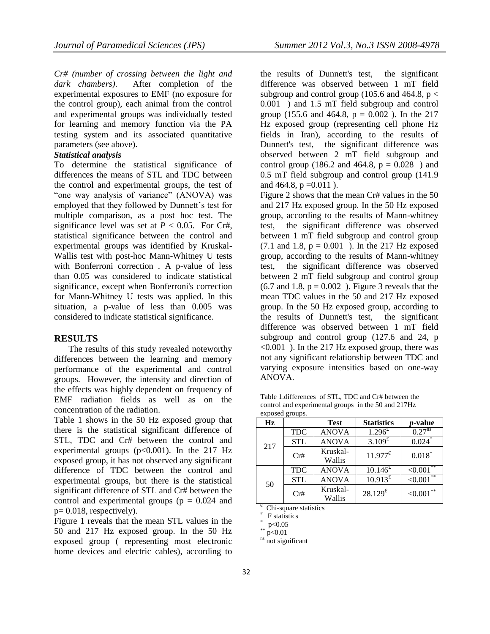*Cr# (number of crossing between the light and dark chambers)*. After completion of the experimental exposures to EMF (no exposure for the control group), each animal from the control and experimental groups was individually tested for learning and memory function via the PA testing system and its associated quantitative parameters (see above).

### *Statistical analysis*

To determine the statistical significance of differences the means of STL and TDC between the control and experimental groups, the test of "one way analysis of variance" (ANOVA) was employed that they followed by Dunnett's test for multiple comparison, as a post hoc test. The significance level was set at  $P < 0.05$ . For Cr#, statistical significance between the control and experimental groups was identified by Kruskal-Wallis test with post-hoc Mann-Whitney U tests with Bonferroni correction . A p-value of less than 0.05 was considered to indicate statistical significance, except when Bonferroni's correction for Mann-Whitney U tests was applied. In this situation, a p-value of less than 0.005 was considered to indicate statistical significance.

# **RESULTS**

The results of this study revealed noteworthy differences between the learning and memory performance of the experimental and control groups. However, the intensity and direction of the effects was highly dependent on frequency of EMF radiation fields as well as on the concentration of the radiation.

Table 1 shows in the 50 Hz exposed group that there is the statistical significant difference of STL, TDC and Cr# between the control and experimental groups  $(p<0.001)$ . In the 217 Hz exposed group, it has not observed any significant difference of TDC between the control and experimental groups, but there is the statistical significant difference of STL and Cr# between the control and experimental groups ( $p = 0.024$  and  $p= 0.018$ , respectively).

Figure 1 reveals that the mean STL values in the 50 and 217 Hz exposed group. In the 50 Hz exposed group ( representing most electronic home devices and electric cables), according to

the results of Dunnett's test, the significant difference was observed between 1 mT field subgroup and control group (105.6 and 464.8,  $p <$ 0.001 ) and 1.5 mT field subgroup and control group (155.6 and 464.8,  $p = 0.002$ ). In the 217 Hz exposed group (representing cell phone Hz fields in Iran), according to the results of Dunnett's test, the significant difference was observed between 2 mT field subgroup and control group (186.2 and 464.8,  $p = 0.028$ ) and 0.5 mT field subgroup and control group (141.9 and 464.8,  $p = 0.011$ ).

Figure 2 shows that the mean Cr# values in the 50 and 217 Hz exposed group. In the 50 Hz exposed group, according to the results of Mann-whitney test, the significant difference was observed between 1 mT field subgroup and control group  $(7.1 \text{ and } 1.8, \, p = 0.001)$ . In the 217 Hz exposed group, according to the results of Mann-whitney test, the significant difference was observed between 2 mT field subgroup and control group  $(6.7 \text{ and } 1.8, \text{ p} = 0.002)$ . Figure 3 reveals that the mean TDC values in the 50 and 217 Hz exposed group. In the 50 Hz exposed group, according to the results of Dunnett's test, the significant difference was observed between 1 mT field subgroup and control group (127.6 and 24, p <0.001 ). In the 217 Hz exposed group, there was not any significant relationship between TDC and varying exposure intensities based on one-way ANOVA.

Table 1.differences of STL, TDC and Cr# between the control and experimental groups in the 50 and 217Hz exposed groups.

| $\mathbf{u}$ $\mathbf{v}$ $\mathbf{v}$ $\mathbf{v}$ $\mathbf{v}$ $\mathbf{v}$ $\mathbf{v}$ $\mathbf{v}$ $\mathbf{v}$ $\mathbf{v}$ $\mathbf{v}$ $\mathbf{v}$ $\mathbf{v}$ $\mathbf{v}$ $\mathbf{v}$ $\mathbf{v}$ $\mathbf{v}$ $\mathbf{v}$ $\mathbf{v}$ $\mathbf{v}$ $\mathbf{v}$ $\mathbf{v}$ $\mathbf{v}$ $\mathbf{v}$ $\mathbf{$ |            |                    |                     |                 |
|------------------------------------------------------------------------------------------------------------------------------------------------------------------------------------------------------------------------------------------------------------------------------------------------------------------------------------|------------|--------------------|---------------------|-----------------|
| Hz                                                                                                                                                                                                                                                                                                                                 |            | <b>Test</b>        | <b>Statistics</b>   | <i>p</i> -value |
| 217                                                                                                                                                                                                                                                                                                                                | <b>TDC</b> | <b>ANOVA</b>       | $1.296^{E}$         | $0.27^{ns}$     |
|                                                                                                                                                                                                                                                                                                                                    | <b>STL</b> | <b>ANOVA</b>       | $3.109^{\text{ft}}$ | 0.024           |
|                                                                                                                                                                                                                                                                                                                                    | Cr#        | Kruskal-<br>Wallis | $11.977^{\epsilon}$ | $0.018*$        |
| 50                                                                                                                                                                                                                                                                                                                                 | <b>TDC</b> | <b>ANOVA</b>       | $10.146^{\text{f}}$ | **<br>< 0.001   |
|                                                                                                                                                                                                                                                                                                                                    | <b>STL</b> | <b>ANOVA</b>       | $10.913^{2}$        | < 0.001         |
|                                                                                                                                                                                                                                                                                                                                    | Cr#        | Kruskal-<br>Wallis | $28.129^{\text{e}}$ | **<br>< 0.001   |

€ Chi-square statistics

£ F statistics

\* p<0.05

 $p<0.01$ 

<sup>ns</sup> not significant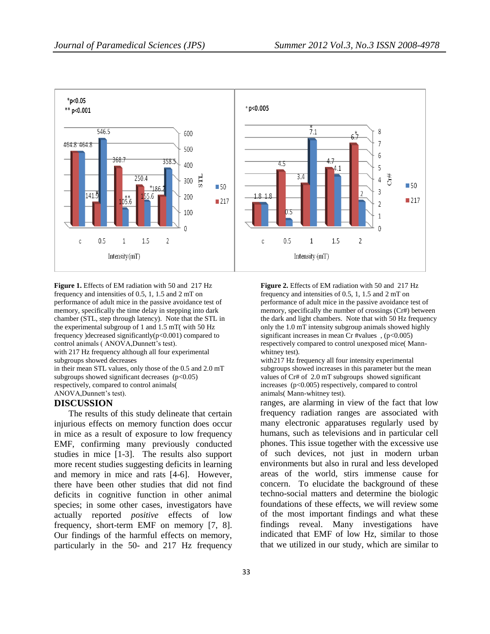

**Figure 1.** Effects of EM radiation with 50 and 217 Hz frequency and intensities of 0.5, 1, 1.5 and 2 mT on performance of adult mice in the passive avoidance test of memory, specifically the time delay in stepping into dark chamber (STL, step through latency). Note that the STL in the experimental subgroup of 1 and 1.5 mT( with 50 Hz frequency )decreased significantly(p<0.001) compared to control animals ( ANOVA,Dunnett's test). with 217 Hz frequency although all four experimental subgroups showed decreases in their mean STL values, only those of the 0.5 and 2.0 mT

subgroups showed significant decreases  $(p<0.05)$ respectively, compared to control animals(

ANOVA,Dunnett's test).

#### **DISCUSSION**

The results of this study delineate that certain injurious effects on memory function does occur in mice as a result of exposure to low frequency EMF, confirming many previously conducted studies in mice [1-3]. The results also support more recent studies suggesting deficits in learning and memory in mice and rats [4-6]. However, there have been other studies that did not find deficits in cognitive function in other animal species; in some other cases, investigators have actually reported *positive* effects of low frequency, short-term EMF on memory [7, 8]. Our findings of the harmful effects on memory, particularly in the 50- and 217 Hz frequency

**Figure 2.** Effects of EM radiation with 50 and 217 Hz frequency and intensities of 0.5, 1, 1.5 and 2 mT on performance of adult mice in the passive avoidance test of memory, specifically the number of crossings (Cr#) between the dark and light chambers. Note that with 50 Hz frequency only the 1.0 mT intensity subgroup animals showed highly significant increases in mean Cr #values , (p<0.005) respectively compared to control unexposed mice( Mannwhitney test).

with217 Hz frequency all four intensity experimental subgroups showed increases in this parameter but the mean values of Cr# of 2.0 mT subgroups showed significant increases (p<0.005) respectively, compared to control animals( Mann-whitney test).

ranges, are alarming in view of the fact that low frequency radiation ranges are associated with many electronic apparatuses regularly used by humans, such as televisions and in particular cell phones. This issue together with the excessive use of such devices, not just in modern urban environments but also in rural and less developed areas of the world, stirs immense cause for concern. To elucidate the background of these techno-social matters and determine the biologic foundations of these effects, we will review some of the most important findings and what these findings reveal. Many investigations have indicated that EMF of low Hz, similar to those that we utilized in our study, which are similar to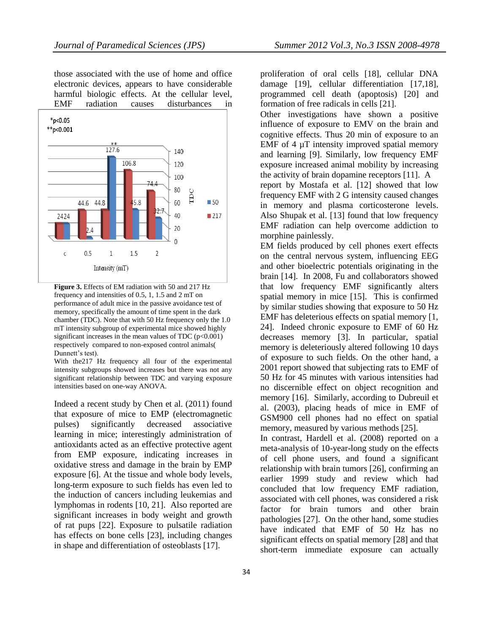those associated with the use of home and office electronic devices, appears to have considerable harmful biologic effects. At the cellular level, EMF radiation causes disturbances in



**Figure 3.** Effects of EM radiation with 50 and 217 Hz frequency and intensities of 0.5, 1, 1.5 and 2 mT on performance of adult mice in the passive avoidance test of memory, specifically the amount of time spent in the dark chamber (TDC). Note that with 50 Hz frequency only the 1.0 mT intensity subgroup of experimental mice showed highly significant increases in the mean values of TDC  $(p<0.001)$ respectively compared to non-exposed control animals( Dunnett's test).

With the217 Hz frequency all four of the experimental intensity subgroups showed increases but there was not any significant relationship between TDC and varying exposure intensities based on one-way ANOVA.

Indeed a recent study by Chen et al. (2011) found that exposure of mice to EMP (electromagnetic pulses) significantly decreased associative learning in mice; interestingly administration of antioxidants acted as an effective protective agent from EMP exposure, indicating increases in oxidative stress and damage in the brain by EMP exposure [6]. At the tissue and whole body levels, long-term exposure to such fields has even led to the induction of cancers including leukemias and lymphomas in rodents [10, 21]. Also reported are significant increases in body weight and growth of rat pups [22]. Exposure to pulsatile radiation has effects on bone cells [23], including changes in shape and differentiation of osteoblasts [17].

proliferation of oral cells [18], cellular DNA damage [19], cellular differentiation [17,18], programmed cell death (apoptosis) [20] and formation of free radicals in cells [21].

Other investigations have shown a positive influence of exposure to EMV on the brain and cognitive effects. Thus 20 min of exposure to an EMF of 4  $\mu$ T intensity improved spatial memory and learning [9]. Similarly, low frequency EMF exposure increased animal mobility by increasing the activity of brain dopamine receptors [11]. A report by Mostafa et al. [12] showed that low

frequency EMF with 2 G intensity caused changes in memory and plasma corticosterone levels. Also Shupak et al. [13] found that low frequency EMF radiation can help overcome addiction to morphine painlessly.

EM fields produced by cell phones exert effects on the central nervous system, influencing EEG and other bioelectric potentials originating in the brain [14]. In 2008, Fu and collaborators showed that low frequency EMF significantly alters spatial memory in mice [15]. This is confirmed by similar studies showing that exposure to 50 Hz EMF has deleterious effects on spatial memory [1, 24]. Indeed chronic exposure to EMF of 60 Hz decreases memory [3]. In particular, spatial memory is deleteriously altered following 10 days of exposure to such fields. On the other hand, a 2001 report showed that subjecting rats to EMF of 50 Hz for 45 minutes with various intensities had no discernible effect on object recognition and memory [16]. Similarly, according to Dubreuil et al. (2003), placing heads of mice in EMF of GSM900 cell phones had no effect on spatial memory, measured by various methods [25].

In contrast, Hardell et al. (2008) reported on a meta-analysis of 10-year-long study on the effects of cell phone users, and found a significant relationship with brain tumors [26], confirming an earlier 1999 study and review which had concluded that low frequency EMF radiation, associated with cell phones, was considered a risk factor for brain tumors and other brain pathologies [27]. On the other hand, some studies have indicated that EMF of 50 Hz has no significant effects on spatial memory [28] and that short-term immediate exposure can actually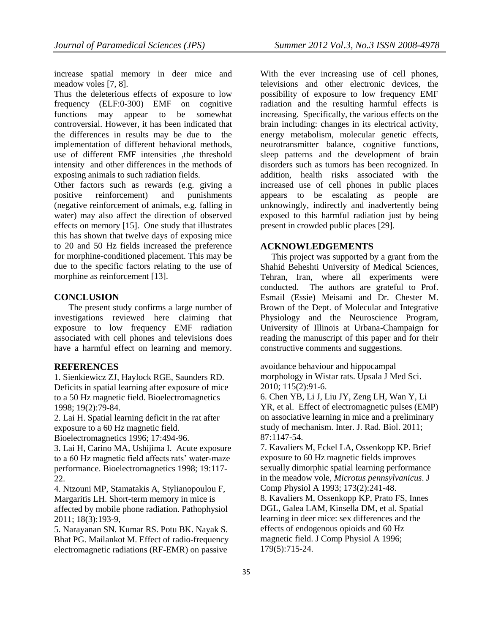increase spatial memory in deer mice and meadow voles [7, 8].

Thus the deleterious effects of exposure to low frequency (ELF:0-300) EMF on cognitive functions may appear to be somewhat controversial. However, it has been indicated that the differences in results may be due to the implementation of different behavioral methods, use of different EMF intensities ,the threshold intensity and other differences in the methods of exposing animals to such radiation fields.

Other factors such as rewards (e.g. giving a positive reinforcement) and punishments (negative reinforcement of animals, e.g. falling in water) may also affect the direction of observed effects on memory [15]. One study that illustrates this has shown that twelve days of exposing mice to 20 and 50 Hz fields increased the preference for morphine-conditioned placement. This may be due to the specific factors relating to the use of morphine as reinforcement [13].

# **CONCLUSION**

The present study confirms a large number of investigations reviewed here claiming that exposure to low frequency EMF radiation associated with cell phones and televisions does have a harmful effect on learning and memory.

## **REFERENCES**

1. Sienkiewicz ZJ, Haylock RGE, Saunders RD. Deficits in spatial learning after exposure of mice to a 50 Hz magnetic field. Bioelectromagnetics 1998; 19(2):79-84.

2. Lai H. Spatial learning deficit in the rat after exposure to a 60 Hz magnetic field.

Bioelectromagnetics 1996; 17:494-96.

3. Lai H, Carino MA, Ushijima I. Acute exposure to a 60 Hz magnetic field affects rats' water-maze performance. Bioelectromagnetics 1998; 19:117- 22.

4. Ntzouni MP, Stamatakis A, Stylianopoulou F, Margaritis LH. Short-term memory in mice is affected by mobile phone radiation. Pathophysiol 2011; 18(3):193-9,

5. Narayanan SN. Kumar RS. Potu BK. Nayak S. Bhat PG. Mailankot M. Effect of radio-frequency electromagnetic radiations (RF-EMR) on passive

With the ever increasing use of cell phones, televisions and other electronic devices, the possibility of exposure to low frequency EMF radiation and the resulting harmful effects is increasing. Specifically, the various effects on the brain including: changes in its electrical activity, energy metabolism, molecular genetic effects, neurotransmitter balance, cognitive functions, sleep patterns and the development of brain disorders such as tumors has been recognized. In addition, health risks associated with the increased use of cell phones in public places appears to be escalating as people are unknowingly, indirectly and inadvertently being exposed to this harmful radiation just by being present in crowded public places [29].

## **ACKNOWLEDGEMENTS**

 This project was supported by a grant from the Shahid Beheshti University of Medical Sciences, Tehran, Iran, where all experiments were conducted. The authors are grateful to Prof. Esmail (Essie) Meisami and Dr. Chester M. Brown of the Dept. of Molecular and Integrative Physiology and the Neuroscience Program, University of Illinois at Urbana-Champaign for reading the manuscript of this paper and for their constructive comments and suggestions.

avoidance behaviour and hippocampal morphology in Wistar rats. Upsala J Med Sci. 2010; 115(2):91-6.

6. Chen YB, Li J, Liu JY, Zeng LH, Wan Y, Li YR, et al. Effect of electromagnetic pulses (EMP) on associative learning in mice and a preliminary study of mechanism. Inter. J. Rad. Biol. 2011; 87:1147-54.

7. Kavaliers M, Eckel LA, Ossenkopp KP. Brief exposure to 60 Hz magnetic fields improves sexually dimorphic spatial learning performance in the meadow vole, *Microtus pennsylvanicus*. J Comp Physiol A 1993; 173(2):241-48.

8. Kavaliers M, Ossenkopp KP, Prato FS, Innes DGL, Galea LAM, Kinsella DM, et al. Spatial learning in deer mice: sex differences and the effects of endogenous opioids and 60 Hz magnetic field. J Comp Physiol A 1996; 179(5):715-24.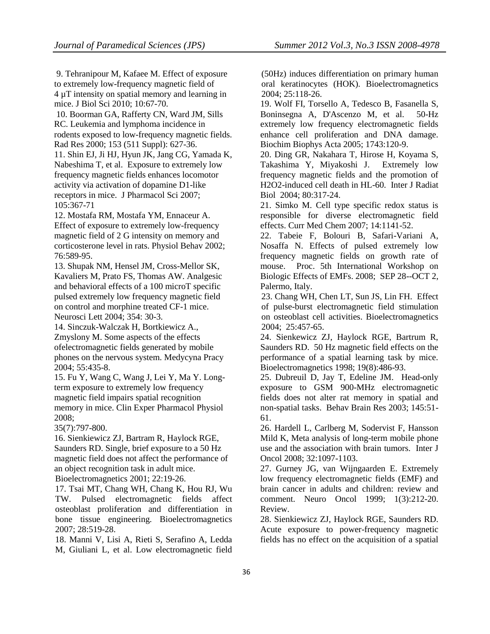9. Tehranipour M, Kafaee M. Effect of exposure to extremely low-frequency magnetic field of 4 µT intensity on spatial memory and learning in mice. J Biol Sci 2010; 10:67-70.

10. [Boorman GA,](http://www.ncbi.nlm.nih.gov/pubmed?term=%22Boorman%20GA%22%5BAuthor%5D) [Rafferty CN,](http://www.ncbi.nlm.nih.gov/pubmed?term=%22Rafferty%20CN%22%5BAuthor%5D) [Ward JM,](http://www.ncbi.nlm.nih.gov/pubmed?term=%22Ward%20JM%22%5BAuthor%5D) [Sills](http://www.ncbi.nlm.nih.gov/pubmed?term=%22Sills%20RC%22%5BAuthor%5D)  [RC.](http://www.ncbi.nlm.nih.gov/pubmed?term=%22Sills%20RC%22%5BAuthor%5D) Leukemia and lymphoma incidence in rodents exposed to low-frequency magnetic fields. Rad Res 2000; 153 (511 Suppl): 627-36.

11. Shin EJ, Ji HJ, Hyun JK, Jang CG, Yamada K, Nabeshima T, et al. Exposure to extremely low frequency magnetic fields enhances locomotor activity via activation of dopamine D1-like receptors in mice. J Pharmacol Sci 2007; 105:367-71

12. Mostafa RM, Mostafa YM, Ennaceur A. Effect of exposure to extremely low-frequency magnetic field of 2 G intensity on memory and corticosterone level in rats. Physiol Behav 2002; 76:589-95.

13. Shupak NM, Hensel JM, Cross-Mellor SK, Kavaliers M, Prato FS, Thomas AW. Analgesic and behavioral effects of a 100 microT specific pulsed extremely low frequency magnetic field on control and morphine treated CF-1 mice. Neurosci Lett 2004; 354: 30-3.

14. Sinczuk-Walczak H, Bortkiewicz A., Zmyslony M. Some aspects of the effects ofelectromagnetic fields generated by mobile phones on the nervous system. Medycyna Pracy 2004; 55:435-8.

15. Fu Y, Wang C, Wang J, Lei Y, Ma Y. Longterm exposure to extremely low frequency magnetic field impairs spatial recognition memory in mice. Clin Exper Pharmacol Physiol 2008;

35(7):797-800.

16. Sienkiewicz ZJ, Bartram R, Haylock RGE, Saunders RD. Single, brief exposure to a 50 Hz magnetic field does not affect the performance of an object recognition task in adult mice.

Bioelectromagnetics 2001; 22:19-26.

17. Tsai MT, Chang WH, Chang K, Hou RJ, Wu TW. Pulsed electromagnetic fields affect osteoblast proliferation and differentiation in bone tissue engineering. Bioelectromagnetics 2007; 28:519-28.

18. Manni V, Lisi A, Rieti S, Serafino A, Ledda M, Giuliani L, et al. Low electromagnetic field

(50Hz) induces differentiation on primary human oral keratinocytes (HOK). Bioelectromagnetics 2004; 25:118-26.

19. [Wolf FI,](http://www.ncbi.nlm.nih.gov/pubmed?term=%22Wolf%20FI%22%5BAuthor%5D) [Torsello A,](http://www.ncbi.nlm.nih.gov/pubmed?term=%22Torsello%20A%22%5BAuthor%5D) [Tedesco B,](http://www.ncbi.nlm.nih.gov/pubmed?term=%22Tedesco%20B%22%5BAuthor%5D) [Fasanella S,](http://www.ncbi.nlm.nih.gov/pubmed?term=%22Fasanella%20S%22%5BAuthor%5D) [Boninsegna A,](http://www.ncbi.nlm.nih.gov/pubmed?term=%22Boninsegna%20A%22%5BAuthor%5D) [D'Ascenzo M,](http://www.ncbi.nlm.nih.gov/pubmed?term=%22D%27Ascenzo%20M%22%5BAuthor%5D) et al. 50-Hz extremely low frequency electromagnetic fields enhance cell proliferation and DNA damage. Biochim Biophys Acta 2005; 1743:120-9.

20. [Ding GR,](http://www.ncbi.nlm.nih.gov/pubmed?term=%22Ding%20GR%22%5BAuthor%5D) [Nakahara T,](http://www.ncbi.nlm.nih.gov/pubmed?term=%22Nakahara%20T%22%5BAuthor%5D) [Hirose H,](http://www.ncbi.nlm.nih.gov/pubmed?term=%22Hirose%20H%22%5BAuthor%5D) [Koyama S,](http://www.ncbi.nlm.nih.gov/pubmed?term=%22Koyama%20S%22%5BAuthor%5D) [Takashima Y,](http://www.ncbi.nlm.nih.gov/pubmed?term=%22Takashima%20Y%22%5BAuthor%5D) [Miyakoshi J.](http://www.ncbi.nlm.nih.gov/pubmed?term=%22Miyakoshi%20J%22%5BAuthor%5D) Extremely low frequency magnetic fields and the promotion of H2O2-induced cell death in HL-60. Inter J Radiat Biol 2004; 80:317-24.

21. Simko M. Cell type specific redox status is responsible for diverse electromagnetic field effects. Curr Med Chem 2007; 14:1141-52.

22. Tabeie F, Bolouri B, Safari-Variani A, Nosaffa N. Effects of pulsed extremely low frequency magnetic fields on growth rate of mouse. Proc. 5th International Workshop on Biologic Effects of EMFs. 2008; SEP 28--OCT 2, Palermo, Italy.

23. Chang WH, Chen LT, Sun JS, Lin FH. Effect of pulse-burst electromagnetic field stimulation on osteoblast cell activities. Bioelectromagnetics 2004; 25:457-65.

24. Sienkewicz ZJ, Haylock RGE, Bartrum R, Saunders RD. 50 Hz magnetic field effects on the performance of a spatial learning task by mice. Bioelectromagnetics 1998; 19(8):486-93.

25. Dubreuil D, Jay T, Edeline JM. Head-only exposure to GSM 900-MHz electromagnetic fields does not alter rat memory in spatial and non-spatial tasks. Behav Brain Res 2003; 145:51- 61.

26. Hardell L, Carlberg M, Sodervist F, Hansson Mild K, Meta analysis of long-term mobile phone use and the association with brain tumors. Inter J Oncol 2008; 32:1097-1103.

27. Gurney JG, van Wijngaarden E. [Extremely](http://www.ncbi.nlm.nih.gov/pubmed/11550314)  [low frequency electromagnetic fields \(EMF\) and](http://www.ncbi.nlm.nih.gov/pubmed/11550314)  [brain cancer in adults and children: review and](http://www.ncbi.nlm.nih.gov/pubmed/11550314)  [comment.](http://www.ncbi.nlm.nih.gov/pubmed/11550314) Neuro Oncol 1999; 1(3):212-20. Review.

28. Sienkiewicz ZJ, Haylock RGE, Saunders RD. Acute exposure to power-frequency magnetic fields has no effect on the acquisition of a spatial